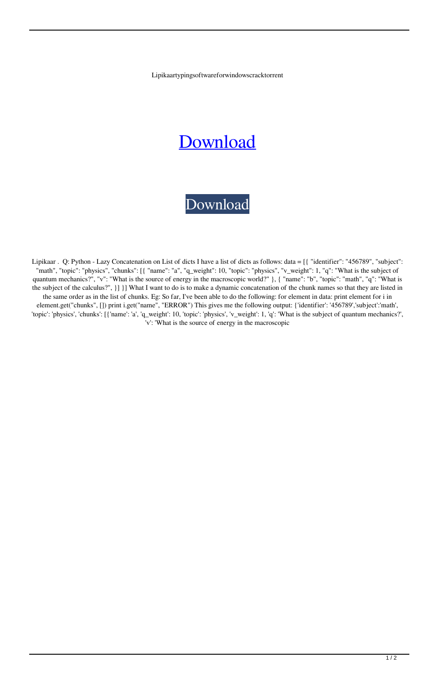Lipikaartypingsoftwareforwindowscracktorrent

## [Download](http://evacdir.com/bGlwaWthYXJ0eXBpbmdzb2Z0d2FyZWZvcndpbmRvd3NjcmFja3RvcnJlbnQbGl?politicssub=edenized&ZG93bmxvYWR8Q1Q0TW5Sd2VueDhNVFkxTWpRMk16QTFNSHg4TWpVM05IeDhLRTBwSUhKbFlXUXRZbXh2WnlCYlJtRnpkQ0JIUlU1ZA=adversaries&proved=quarantined&..)



Lipikaar . Q: Python - Lazy Concatenation on List of dicts I have a list of dicts as follows: data = [{ "identifier": "456789", "subject": "math", "topic": "physics", "chunks": [{ "name": "a", "q\_weight": 10, "topic": "physics", "v\_weight": 1, "q": "What is the subject of quantum mechanics?", "v": "What is the source of energy in the macroscopic world?" }, { "name": "b", "topic": "math", "q": "What is the subject of the calculus?", }] }] What I want to do is to make a dynamic concatenation of the chunk names so that they are listed in the same order as in the list of chunks. Eg: So far, I've been able to do the following: for element in data: print element for i in element.get("chunks", []) print i.get("name", "ERROR") This gives me the following output: {'identifier': '456789','subject':'math', 'topic': 'physics', 'chunks': [{'name': 'a', 'q\_weight': 10, 'topic': 'physics', 'v\_weight': 1, 'q': 'What is the subject of quantum mechanics?', 'v': 'What is the source of energy in the macroscopic